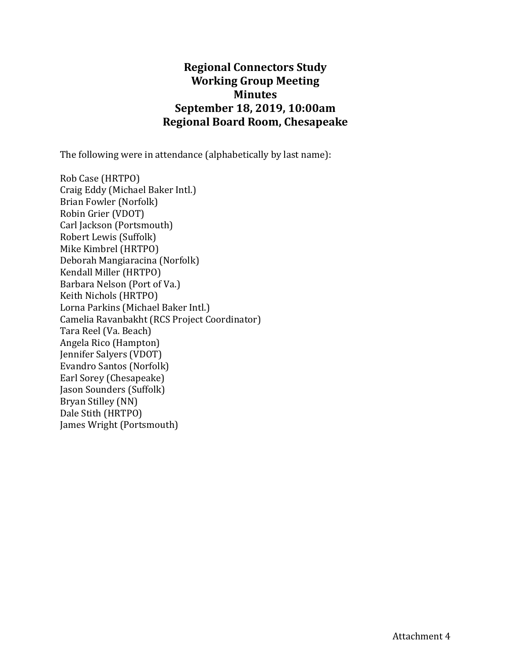## **Regional Connectors Study Working Group Meeting Minutes September 18, 2019, 10:00am Regional Board Room, Chesapeake**

The following were in attendance (alphabetically by last name):

Rob Case (HRTPO) Craig Eddy (Michael Baker Intl.) Brian Fowler (Norfolk) Robin Grier (VDOT) Carl Jackson (Portsmouth) Robert Lewis (Suffolk) Mike Kimbrel (HRTPO) Deborah Mangiaracina (Norfolk) Kendall Miller (HRTPO) Barbara Nelson (Port of Va.) Keith Nichols (HRTPO) Lorna Parkins (Michael Baker Intl.) Camelia Ravanbakht (RCS Project Coordinator) Tara Reel (Va. Beach) Angela Rico (Hampton) Jennifer Salyers (VDOT) Evandro Santos (Norfolk) Earl Sorey (Chesapeake) Jason Sounders (Suffolk) Bryan Stilley (NN) Dale Stith (HRTPO) James Wright (Portsmouth)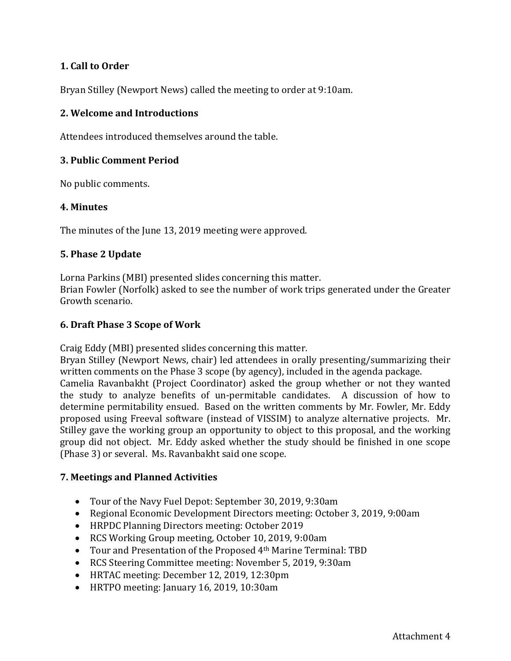### **1. Call to Order**

Bryan Stilley (Newport News) called the meeting to order at 9:10am.

#### **2. Welcome and Introductions**

Attendees introduced themselves around the table.

#### **3. Public Comment Period**

No public comments.

#### **4. Minutes**

The minutes of the June 13, 2019 meeting were approved.

#### **5. Phase 2 Update**

Lorna Parkins (MBI) presented slides concerning this matter.

Brian Fowler (Norfolk) asked to see the number of work trips generated under the Greater Growth scenario.

#### **6. Draft Phase 3 Scope of Work**

Craig Eddy (MBI) presented slides concerning this matter.

Bryan Stilley (Newport News, chair) led attendees in orally presenting/summarizing their written comments on the Phase 3 scope (by agency), included in the agenda package. Camelia Ravanbakht (Project Coordinator) asked the group whether or not they wanted the study to analyze benefits of un-permitable candidates. A discussion of how to determine permitability ensued. Based on the written comments by Mr. Fowler, Mr. Eddy proposed using Freeval software (instead of VISSIM) to analyze alternative projects. Mr. Stilley gave the working group an opportunity to object to this proposal, and the working group did not object. Mr. Eddy asked whether the study should be finished in one scope (Phase 3) or several. Ms. Ravanbakht said one scope.

#### **7. Meetings and Planned Activities**

- Tour of the Navy Fuel Depot: September 30, 2019, 9:30am
- Regional Economic Development Directors meeting: October 3, 2019, 9:00am
- HRPDC Planning Directors meeting: October 2019
- RCS Working Group meeting, October 10, 2019, 9:00am
- Tour and Presentation of the Proposed 4th Marine Terminal: TBD
- RCS Steering Committee meeting: November 5, 2019, 9:30am
- HRTAC meeting: December 12, 2019, 12:30pm
- HRTPO meeting: January 16, 2019, 10:30am